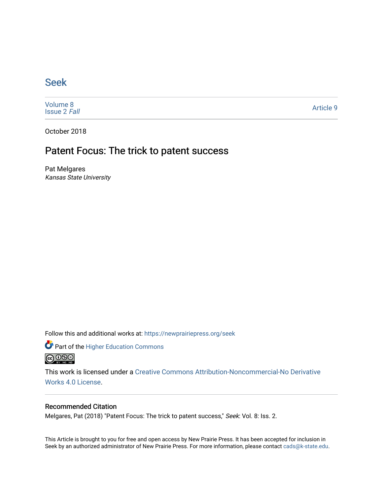### [Seek](https://newprairiepress.org/seek)

[Volume 8](https://newprairiepress.org/seek/vol8) [Issue 2](https://newprairiepress.org/seek/vol8/iss2) Fall

[Article 9](https://newprairiepress.org/seek/vol8/iss2/9) 

October 2018

## Patent Focus: The trick to patent success

Pat Melgares Kansas State University

Follow this and additional works at: [https://newprairiepress.org/seek](https://newprairiepress.org/seek?utm_source=newprairiepress.org%2Fseek%2Fvol8%2Fiss2%2F9&utm_medium=PDF&utm_campaign=PDFCoverPages)

Part of the [Higher Education Commons](http://network.bepress.com/hgg/discipline/1245?utm_source=newprairiepress.org%2Fseek%2Fvol8%2Fiss2%2F9&utm_medium=PDF&utm_campaign=PDFCoverPages) 



This work is licensed under a [Creative Commons Attribution-Noncommercial-No Derivative](https://creativecommons.org/licenses/by-nc-nd/4.0/)  [Works 4.0 License](https://creativecommons.org/licenses/by-nc-nd/4.0/).

### Recommended Citation

Melgares, Pat (2018) "Patent Focus: The trick to patent success," Seek: Vol. 8: Iss. 2.

This Article is brought to you for free and open access by New Prairie Press. It has been accepted for inclusion in Seek by an authorized administrator of New Prairie Press. For more information, please contact [cads@k-state.edu](mailto:cads@k-state.edu).